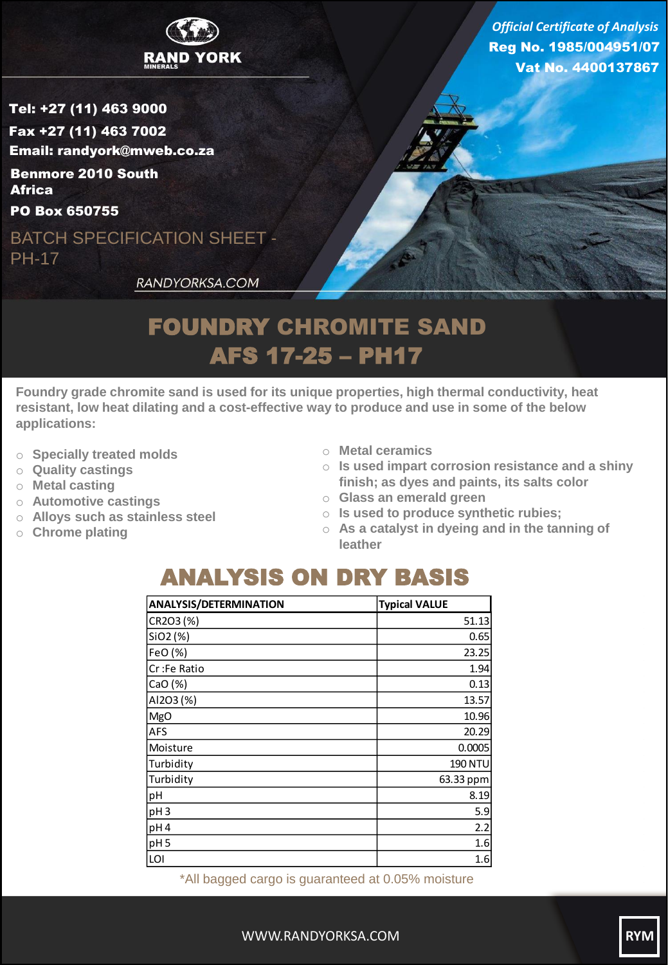

Reg No. 1985/004951/07 Vat No. 4400137867 *Official Certificate of Analysis*

Tel: +27 (11) 463 9000 Fax +27 (11) 463 7002 Email: randyork@mweb.co.za Benmore 2010 South **Africa** 

PO Box 650755

BATCH SPECIFICATION SHEET - PH-17

RANDYORKSA.COM

## FOUNDRY CHROMITE SAND AFS 17-25 – PH17

**Foundry grade chromite sand is used for its unique properties, high thermal conductivity, heat resistant, low heat dilating and a cost-effective way to produce and use in some of the below applications:**

- o **Specially treated molds**
- o **Quality castings**
- o **Metal casting**
- o **Automotive castings**
- o **Alloys such as stainless steel**
- o **Chrome plating**
- o **Metal ceramics**
- o **Is used impart corrosion resistance and a shiny finish; as dyes and paints, its salts color**
- o **Glass an emerald green**
- o **Is used to produce synthetic rubies;**
- o **As a catalyst in dyeing and in the tanning of leather**

## ANALYSIS ON DRY BASIS

| <b>Typical VALUE</b> |
|----------------------|
| 51.13                |
| 0.65                 |
| 23.25                |
| 1.94                 |
| 0.13                 |
| 13.57                |
| 10.96                |
| 20.29                |
| 0.0005               |
| <b>190 NTU</b>       |
| 63.33 ppm            |
| 8.19                 |
| 5.9                  |
| 2.2                  |
| 1.6                  |
| 1.6                  |
|                      |

\*All bagged cargo is guaranteed at 0.05% moisture